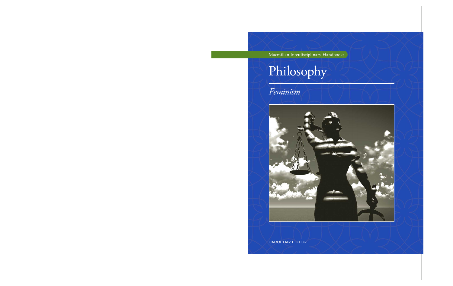Macmillan Interdisciplinary Handbooks

# Philosophy

## *Feminism*



CAROL HAY, EDITOR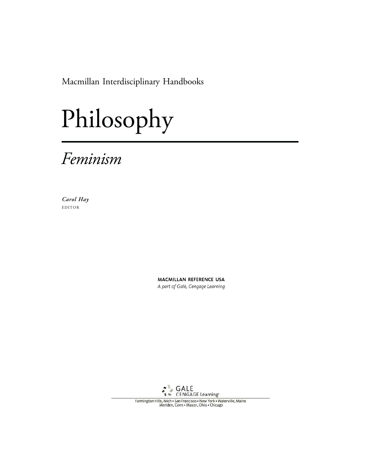Macmillan Interdisciplinary Handbooks

# Philosophy

## Feminism

Carol Hay EDITOR

> MACMILLAN REFERENCE USA A part of Gale, Cengage Learning



Farmington Hills, Mich • San Francisco • New York • Waterville, Maine<br>Meriden, Conn • Mason, Ohio • Chicago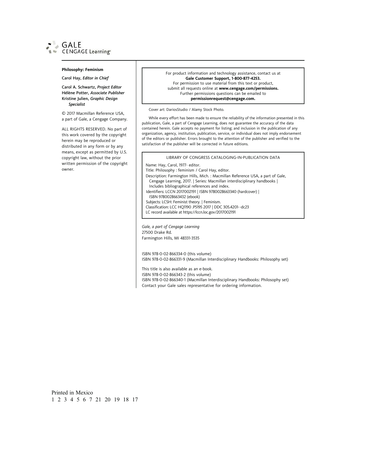

#### Philosophy: Feminism

Carol Hay, Editor in Chief

Carol A. Schwartz, Project Editor Hélène Potter, Associate Publisher Kristine Julien, Graphic Design Specialist

© 2017 Macmillan Reference USA, a part of Gale, a Cengage Company.

ALL RIGHTS RESERVED. No part of this work covered by the copyright herein may be reproduced or distributed in any form or by any means, except as permitted by U.S. copyright law, without the prior written permission of the copyright owner.

For product information and technology assistance, contact us at Gale Customer Support, 1-800-877-4253. For permission to use material from this text or product, submit all requests online at www.cengage.com/permissions. Further permissions questions can be emailed to permissionrequest@cengage.com.

Cover art: DariosStudio / Alamy Stock Photo.

While every effort has been made to ensure the reliability of the information presented in this publication, Gale, a part of Cengage Learning, does not guarantee the accuracy of the data contained herein. Gale accepts no payment for listing; and inclusion in the publication of any organization, agency, institution, publication, service, or individual does not imply endorsement of the editors or publisher. Errors brought to the attention of the publisher and verified to the satisfaction of the publisher will be corrected in future editions.

LIBRARY OF CONGRESS CATALOGING-IN-PUBLICATION DATA

Name: Hay, Carol, 1977- editor. Title: Philosophy : feminism / Carol Hay, editor. Description: Farmington Hills, Mich. : Macmillan Reference USA, a part of Gale, Cengage Learning, 2017. | Series: Macmillan interdisciplinary handbooks | Includes bibliographical references and index. Identifiers: LCCN 2017002191 | ISBN 9780028663340 (hardcover) | ISBN 9780028663432 (ebook) Subjects: LCSH: Feminist theory. | Feminism. Classification: LCC HQ1190 .P5195 2017 | DDC 305.4201--dc23 LC record available at https://lccn.loc.gov/2017002191

Gale, a part of Cengage Learning 27500 Drake Rd. Farmington Hills, MI 48331-3535

ISBN 978-0-02-866334-0 (this volume) ISBN 978-0-02-866331-9 (Macmillan Interdisciplinary Handbooks: Philosophy set)

This title is also available as an e-book.

ISBN 978-0-02-866343-2 (this volume) ISBN 978-0-02-866340-1 (Macmillan Interdisciplinary Handbooks: Philosophy set) Contact your Gale sales representative for ordering information.

Printed in Mexico 123456721 20 19 18 17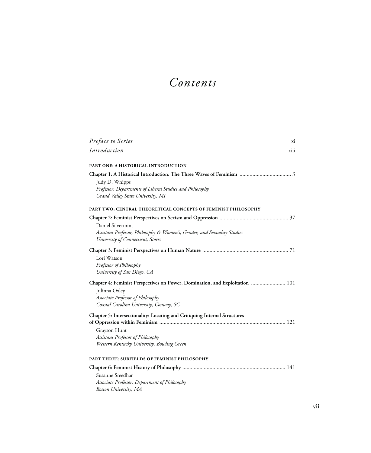### Contents

| Preface to Series<br>xi                                                                                                                                                       |  |
|-------------------------------------------------------------------------------------------------------------------------------------------------------------------------------|--|
| Introduction<br>xiii                                                                                                                                                          |  |
| <b>PART ONE: A HISTORICAL INTRODUCTION</b>                                                                                                                                    |  |
| Judy D. Whipps<br>Professor, Departments of Liberal Studies and Philosophy<br>Grand Valley State University, MI                                                               |  |
| PART TWO: CENTRAL THEORETICAL CONCEPTS OF FEMINIST PHILOSOPHY                                                                                                                 |  |
| Daniel Silvermint<br>Assistant Professor, Philosophy & Women's, Gender, and Sexuality Studies<br>University of Connecticut, Storrs                                            |  |
| Lori Watson<br>Professor of Philosophy<br>University of San Diego, CA                                                                                                         |  |
| Chapter 4: Feminist Perspectives on Power, Domination, and Exploitation  101<br>Julinna Oxley<br>Associate Professor of Philosophy<br>Coastal Carolina University, Conway, SC |  |
| Chapter 5: Intersectionality: Locating and Critiquing Internal Structures<br>Grayson Hunt<br>Assistant Professor of Philosophy<br>Western Kentucky University, Bowling Green  |  |
| PART THREE: SUBFIELDS OF FEMINIST PHILOSOPHY                                                                                                                                  |  |
|                                                                                                                                                                               |  |
| Susanne Sreedhar<br>Associate Professor, Department of Philosophy<br>Boston University, MA                                                                                    |  |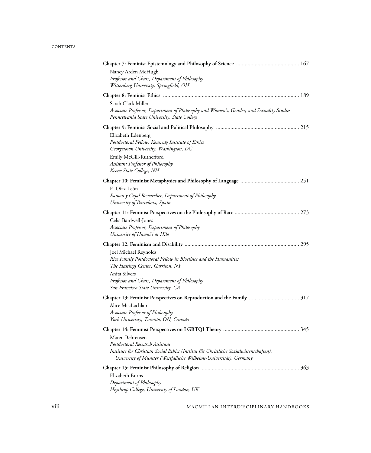| Nancy Arden McHugh<br>Professor and Chair, Department of Philosophy<br>Wittenberg University, Springfield, OH                                                                                              |
|------------------------------------------------------------------------------------------------------------------------------------------------------------------------------------------------------------|
|                                                                                                                                                                                                            |
| Sarah Clark Miller<br>Associate Professor, Department of Philosophy and Women's, Gender, and Sexuality Studies<br>Pennsylvania State University, State College                                             |
|                                                                                                                                                                                                            |
| Elizabeth Edenberg<br>Postdoctoral Fellow, Kennedy Institute of Ethics<br>Georgetown University, Washington, DC<br>Emily McGill-Rutherford<br>Assistant Professor of Philosophy<br>Keene State College, NH |
|                                                                                                                                                                                                            |
| E. Díaz-León<br>Ramon y Cajal Researcher, Department of Philosophy<br>University of Barcelona, Spain                                                                                                       |
|                                                                                                                                                                                                            |
| Celia Bardwell-Jones<br>Associate Professor, Department of Philosophy<br>University of Hawai'i at Hilo                                                                                                     |
|                                                                                                                                                                                                            |
| Joel Michael Reynolds<br>Rice Family Postdoctoral Fellow in Bioethics and the Humanities<br>The Hastings Center, Garrison, NY<br>Anita Silvers                                                             |
| Professor and Chair, Department of Philosophy<br>San Francisco State University, CA                                                                                                                        |
| Chapter 13: Feminist Perspectives on Reproduction and the Family  317                                                                                                                                      |
| Alice MacLachlan<br>Associate Professor of Philosophy<br>York University, Toronto, ON, Canada                                                                                                              |
|                                                                                                                                                                                                            |
| Maren Behrensen<br>Postdoctoral Research Assistant                                                                                                                                                         |
| Institute for Christian Social Ethics (Institut für Christliche Sozialwissenschaften),<br>University of Münster (Westfälische Wilhelms-Universität), Germany                                               |
|                                                                                                                                                                                                            |
| Elizabeth Burns<br>Department of Philosophy<br>Heythrop College, University of London, UK                                                                                                                  |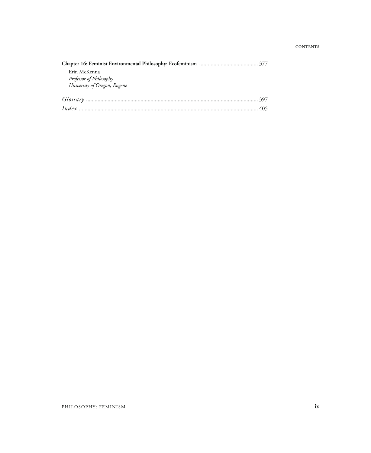| Erin McKenna                 |  |
|------------------------------|--|
| Professor of Philosophy      |  |
| University of Oregon, Eugene |  |
|                              |  |
|                              |  |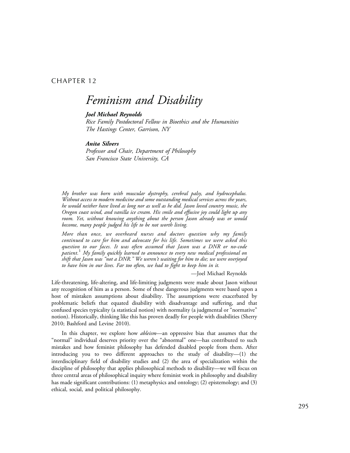#### CHAPTER 12

### Feminism and Disability

#### Joel Michael Reynolds

Rice Family Postdoctoral Fellow in Bioethics and the Humanities The Hastings Center, Garrison, NY

#### Anita Silvers

Professor and Chair, Department of Philosophy San Francisco State University, CA

My brother was born with muscular dystrophy, cerebral palsy, and hydrocephalus. Without access to modern medicine and some outstanding medical services across the years, he would neither have lived as long nor as well as he did. Jason loved country music, the Oregon coast wind, and vanilla ice cream. His smile and effusive joy could light up any room. Yet, without knowing anything about the person Jason already was or would become, many people judged his life to be not worth living.

More than once, we overheard nurses and doctors question why my family continued to care for him and advocate for his life. Sometimes we were asked this question to our faces. It was often assumed that Jason was a DNR or no-code ,<br>patient. My family quickly learned to announce to every new medical professional on shift that Jason was "not a DNR." We weren't waiting for him to die; we were overjoyed to have him in our lives. Far too often, we had to fight to keep him in it.

—Joel Michael Reynolds

Life-threatening, life-altering, and life-limiting judgments were made about Jason without any recognition of him as a person. Some of these dangerous judgments were based upon a host of mistaken assumptions about disability. The assumptions were exacerbated by problematic beliefs that equated disability with disadvantage and suffering, and that confused species typicality (a statistical notion) with normality (a judgmental or "normative" notion). Historically, thinking like this has proven deadly for people with disabilities (Sherry 2010; Bashford and Levine 2010).

In this chapter, we explore how *ableism*—an oppressive bias that assumes that the "normal" individual deserves priority over the "abnormal" one—has contributed to such mistakes and how feminist philosophy has defended disabled people from them. After introducing you to two different approaches to the study of disability—(1) the interdisciplinary field of disability studies and (2) the area of specialization within the discipline of philosophy that applies philosophical methods to disability—we will focus on three central areas of philosophical inquiry where feminist work in philosophy and disability has made significant contributions: (1) metaphysics and ontology; (2) epistemology; and (3) ethical, social, and political philosophy.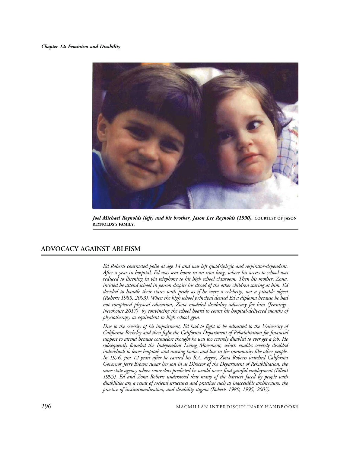

Joel Michael Reynolds (left) and his brother, Jason Lee Reynolds (1990). COURTESY OF JASON REYNOLDS'S FAMILY.

#### ADVOCACY AGAINST ABLEISM

Ed Roberts contracted polio at age 14 and was left quadriplegic and respirator-dependent. After a year in hospital, Ed was sent home in an iron lung, where his access to school was reduced to listening in via telephone to his high school classroom. Then his mother, Zona, insisted he attend school in person despite his dread of the other children staring at him. Ed decided to handle their stares with pride as if he were a celebrity, not a pitiable object (Roberts 1989, 2003). When the high school principal denied Ed a diploma because he had not completed physical education, Zona modeled disability advocacy for him (Jennings-Newhouse 2017) by convincing the school board to count his hospital-delivered months of physiotherapy as equivalent to high school gym.

Due to the severity of his impairment, Ed had to fight to be admitted to the University of California Berkeley and then fight the California Department of Rehabilitation for financial support to attend because counselors thought he was too severely disabled to ever get a job. He subsequently founded the Independent Living Movement, which enables severely disabled individuals to leave hospitals and nursing homes and live in the community like other people. In 1976, just 12 years after he earned his B.A. degree, Zona Roberts watched California Governor Jerry Brown swear her son in as Director of the Department of Rehabilitation, the same state agency whose counselors predicted he would never find gainful employment (Elliott 1995). Ed and Zona Roberts understood that many of the barriers faced by people with disabilities are a result of societal structures and practices such as inaccessible architecture, the practice of institutionalization, and disability stigma (Roberts 1989, 1995, 2003).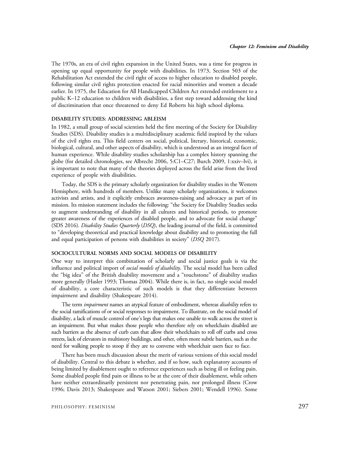The 1970s, an era of civil rights expansion in the United States, was a time for progress in opening up equal opportunity for people with disabilities. In 1973, Section 503 of the Rehabilitation Act extended the civil right of access to higher education to disabled people, following similar civil rights protection enacted for racial minorities and women a decade earlier. In 1975, the Education for All Handicapped Children Act extended entitlement to a public K–12 education to children with disabilities, a first step toward addressing the kind of discrimination that once threatened to deny Ed Roberts his high school diploma.

#### DISABILITY STUDIES: ADDRESSING ABLEISM

In 1982, a small group of social scientists held the first meeting of the Society for Disability Studies (SDS). Disability studies is a multidisciplinary academic field inspired by the values of the civil rights era. This field centers on social, political, literary, historical, economic, biological, cultural, and other aspects of disability, which is understood as an integral facet of human experience. While disability studies scholarship has a complex history spanning the globe (for detailed chronologies, see Albrecht 2006, 5:C1–C27; Burch 2009, 1:xxiv–lvi), it is important to note that many of the theories deployed across the field arise from the lived experience of people with disabilities.

Today, the SDS is the primary scholarly organization for disability studies in the Western Hemisphere, with hundreds of members. Unlike many scholarly organizations, it welcomes activists and artists, and it explicitly embraces awareness-raising and advocacy as part of its mission. Its mission statement includes the following: "the Society for Disability Studies seeks to augment understanding of disability in all cultures and historical periods, to promote greater awareness of the experiences of disabled people, and to advocate for social change" (SDS 2016). Disability Studies Quarterly (DSQ), the leading journal of the field, is committed to "developing theoretical and practical knowledge about disability and to promoting the full and equal participation of persons with disabilities in society" (DSQ 2017).

#### SOCIOCULTURAL NORMS AND SOCIAL MODELS OF DISABILITY

One way to interpret this combination of scholarly and social justice goals is via the influence and political import of social models of disability. The social model has been called the "big idea" of the British disability movement and a "touchstone" of disability studies more generally (Hasler 1993; Thomas 2004). While there is, in fact, no single social model of disability, a core characteristic of such models is that they differentiate between impairment and disability (Shakespeare 2014).

The term *impairment* names an atypical feature of embodiment, whereas *disability* refers to the social ramifications of or social responses to impairment. To illustrate, on the social model of disability, a lack of muscle control of one's legs that makes one unable to walk across the street is an impairment. But what makes those people who therefore rely on wheelchairs disabled are such barriers as the absence of curb cuts that allow their wheelchairs to roll off curbs and cross streets, lack of elevators in multistory buildings, and other, often more subtle barriers, such as the need for walking people to stoop if they are to converse with wheelchair users face to face.

There has been much discussion about the merit of various versions of this social model of disability. Central to this debate is whether, and if so how, such explanatory accounts of being limited by disablement ought to reference experiences such as being ill or feeling pain. Some disabled people find pain or illness to be at the core of their disablement, while others have neither extraordinarily persistent nor penetrating pain, nor prolonged illness (Crow 1996; Davis 2013; Shakespeare and Watson 2001; Siebers 2001; Wendell 1996). Some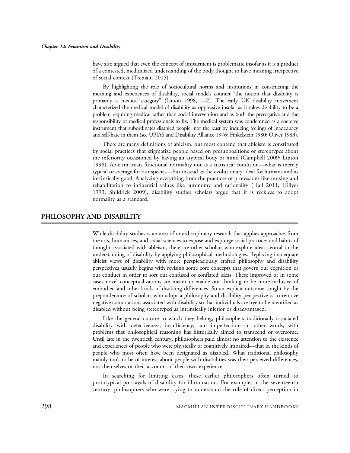have also argued that even the concept of impairment is problematic insofar as it is a product of a contested, medicalized understanding of the body thought to have meaning irrespective of social context (Tremain 2015).

By highlighting the role of sociocultural norms and institutions in constructing the meaning and experiences of disability, social models counter "the notion that disability is primarily a medical category" (Linton 1998, 1–2). The early UK disability movement characterized the medical model of disability as oppressive insofar as it takes disability to be a problem requiring medical rather than social intervention and as both the prerogative and the responsibility of medical professionals to fix. The medical system was condemned as a coercive instrument that subordinates disabled people, not the least by inducing feelings of inadequacy and self-hate in them (see UPIAS and Disability Alliance 1976; Finkelstein 1980; Oliver 1983).

There are many definitions of ableism, but most contend that ableism is constituted by social practices that stigmatize people based on presuppositions or stereotypes about the inferiority occasioned by having an atypical body or mind (Campbell 2009; Linton 1998). Ableism treats functional normality not as a statistical condition—what is merely typical or average for our species—but instead as the evolutionary ideal for humans and as intrinsically good. Analyzing everything from the practices of professions like nursing and rehabilitation to influential values like autonomy and rationality (Hall 2011; Hillyer 1993; Shildrick 2009), disability studies scholars argue that it is reckless to adopt normality as a standard.

#### PHILOSOPHY AND DISABILITY

While disability studies is an area of interdisciplinary research that applies approaches from the arts, humanities, and social sciences to expose and expunge social practices and habits of thought associated with ableism, there are other scholars who explore ideas central to the understanding of disability by applying philosophical methodologies. Replacing inadequate ableist views of disability with more perspicaciously crafted philosophy and disability perspectives usually begins with revising some core concepts that govern our cognition or our conduct in order to sort out confused or conflated ideas. These improved or in some cases novel conceptualizations are meant to enable our thinking to be more inclusive of embodied and other kinds of disabling differences. So an explicit outcome sought by the preponderance of scholars who adopt a philosophy and disability perspective is to remove negative connotations associated with disability so that individuals are free to be identified as disabled without being stereotyped as intrinsically inferior or disadvantaged.

Like the general culture to which they belong, philosophers traditionally associated disability with defectiveness, insufficiency, and imperfection—in other words, with problems that philosophical reasoning has historically aimed to transcend or overcome. Until late in the twentieth century, philosophers paid almost no attention to the existence and experiences of people who were physically or cognitively impaired—that is, the kinds of people who most often have been designated as disabled. What traditional philosophy mainly took to be of interest about people with disabilities was their perceived differences, not themselves or their accounts of their own experience.

In searching for limiting cases, these earlier philosophers often turned to prototypical portrayals of disability for illumination. For example, in the seventeenth century, philosophers who were trying to understand the role of direct perception in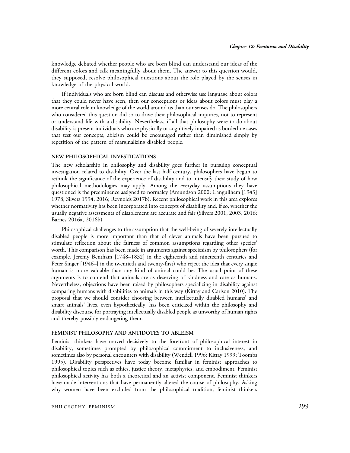knowledge debated whether people who are born blind can understand our ideas of the different colors and talk meaningfully about them. The answer to this question would, they supposed, resolve philosophical questions about the role played by the senses in knowledge of the physical world.

If individuals who are born blind can discuss and otherwise use language about colors that they could never have seen, then our conceptions or ideas about colors must play a more central role in knowledge of the world around us than our senses do. The philosophers who considered this question did so to drive their philosophical inquiries, not to represent or understand life with a disability. Nevertheless, if all that philosophy were to do about disability is present individuals who are physically or cognitively impaired as borderline cases that test our concepts, ableism could be encouraged rather than diminished simply by repetition of the pattern of marginalizing disabled people.

#### NEW PHILOSOPHICAL INVESTIGATIONS

The new scholarship in philosophy and disability goes further in pursuing conceptual investigation related to disability. Over the last half century, philosophers have begun to rethink the significance of the experience of disability and to intensify their study of how philosophical methodologies may apply. Among the everyday assumptions they have questioned is the preeminence assigned to normalcy (Amundson 2000; Canguilhem [1943] 1978; Silvers 1994, 2016; Reynolds 2017b). Recent philosophical work in this area explores whether normativity has been incorporated into concepts of disability and, if so, whether the usually negative assessments of disablement are accurate and fair (Silvers 2001, 2003, 2016; Barnes 2016a, 2016b).

Philosophical challenges to the assumption that the well-being of severely intellectually disabled people is more important than that of clever animals have been pursued to stimulate reflection about the fairness of common assumptions regarding other species' worth. This comparison has been made in arguments against speciesism by philosophers (for example, Jeremy Bentham [1748–1832] in the eighteenth and nineteenth centuries and Peter Singer [1946–] in the twentieth and twenty-first) who reject the idea that every single human is more valuable than any kind of animal could be. The usual point of these arguments is to contend that animals are as deserving of kindness and care as humans. Nevertheless, objections have been raised by philosophers specializing in disability against comparing humans with disabilities to animals in this way (Kittay and Carlson 2010). The proposal that we should consider choosing between intellectually disabled humans' and smart animals' lives, even hypothetically, has been criticized within the philosophy and disability discourse for portraying intellectually disabled people as unworthy of human rights and thereby possibly endangering them.

#### FEMINIST PHILOSOPHY AND ANTIDOTES TO ABLEISM

Feminist thinkers have moved decisively to the forefront of philosophical interest in disability, sometimes prompted by philosophical commitment to inclusiveness, and sometimes also by personal encounters with disability (Wendell 1996; Kittay 1999; Toombs 1995). Disability perspectives have today become familiar in feminist approaches to philosophical topics such as ethics, justice theory, metaphysics, and embodiment. Feminist philosophical activity has both a theoretical and an activist component. Feminist thinkers have made interventions that have permanently altered the course of philosophy. Asking why women have been excluded from the philosophical tradition, feminist thinkers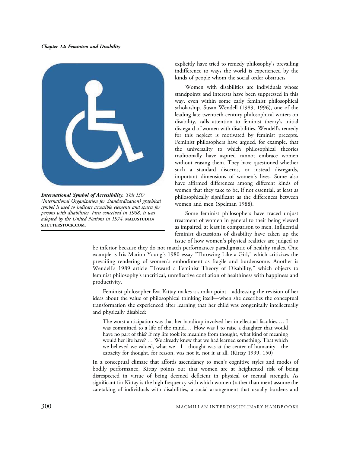Chapter 12: Feminism and Disability



International Symbol of Accessibility. This ISO (International Organization for Standardization) graphical symbol is used to indicate accessible elements and spaces for persons with disabilities. First conceived in 1968, it was adopted by the United Nations in 1974. MALUSTUDIO/ SHUTTERSTOCK.COM.

explicitly have tried to remedy philosophy's prevailing indifference to ways the world is experienced by the kinds of people whom the social order obstructs.

Women with disabilities are individuals whose standpoints and interests have been suppressed in this way, even within some early feminist philosophical scholarship. Susan Wendell (1989, 1996), one of the leading late twentieth-century philosophical writers on disability, calls attention to feminist theory's initial disregard of women with disabilities. Wendell's remedy for this neglect is motivated by feminist precepts. Feminist philosophers have argued, for example, that the universality to which philosophical theories traditionally have aspired cannot embrace women without erasing them. They have questioned whether such a standard discerns, or instead disregards, important dimensions of women's lives. Some also have affirmed differences among different kinds of women that they take to be, if not essential, at least as philosophically significant as the differences between women and men (Spelman 1988).

Some feminist philosophers have traced unjust treatment of women in general to their being viewed as impaired, at least in comparison to men. Influential feminist discussions of disability have taken up the issue of how women's physical realities are judged to

be inferior because they do not match performances paradigmatic of healthy males. One example is Iris Marion Young's 1980 essay "Throwing Like a Girl," which criticizes the prevailing rendering of women's embodiment as fragile and burdensome. Another is Wendell's 1989 article "Toward a Feminist Theory of Disability," which objects to feminist philosophy's uncritical, unreflective conflation of healthiness with happiness and productivity.

Feminist philosopher Eva Kittay makes a similar point—addressing the revision of her ideas about the value of philosophical thinking itself—when she describes the conceptual transformation she experienced after learning that her child was congenitally intellectually and physically disabled:

The worst anticipation was that her handicap involved her intellectual faculties.… I was committed to a life of the mind.… How was I to raise a daughter that would have no part of this? If my life took its meaning from thought, what kind of meaning would her life have? … We already knew that we had learned something. That which we believed we valued, what we—I—thought was at the center of humanity—the capacity for thought, for reason, was not it, not it at all. (Kittay 1999, 150)

In a conceptual climate that affords ascendancy to men's cognitive styles and modes of bodily performance, Kittay points out that women are at heightened risk of being disrespected in virtue of being deemed deficient in physical or mental strength. As significant for Kittay is the high frequency with which women (rather than men) assume the caretaking of individuals with disabilities, a social arrangement that usually burdens and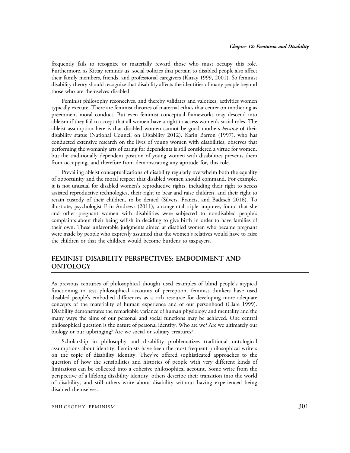frequently fails to recognize or materially reward those who must occupy this role. Furthermore, as Kittay reminds us, social policies that pertain to disabled people also affect their family members, friends, and professional caregivers (Kittay 1999, 2001). So feminist disability theory should recognize that disability affects the identities of many people beyond those who are themselves disabled.

Feminist philosophy reconceives, and thereby validates and valorizes, activities women typically execute. There are feminist theories of maternal ethics that center on mothering as preeminent moral conduct. But even feminist conceptual frameworks may descend into ableism if they fail to accept that all women have a right to access women's social roles. The ableist assumption here is that disabled women cannot be good mothers because of their disability status (National Council on Disability 2012). Karin Barron (1997), who has conducted extensive research on the lives of young women with disabilities, observes that performing the womanly arts of caring for dependents is still considered a virtue for women, but the traditionally dependent position of young women with disabilities prevents them from occupying, and therefore from demonstrating any aptitude for, this role.

Prevailing ableist conceptualizations of disability regularly overwhelm both the equality of opportunity and the moral respect that disabled women should command. For example, it is not unusual for disabled women's reproductive rights, including their right to access assisted reproductive technologies, their right to bear and raise children, and their right to retain custody of their children, to be denied (Silvers, Francis, and Badesch 2016). To illustrate, psychologist Erin Andrews (2011), a congenital triple amputee, found that she and other pregnant women with disabilities were subjected to nondisabled people's complaints about their being selfish in deciding to give birth in order to have families of their own. These unfavorable judgments aimed at disabled women who became pregnant were made by people who expressly assumed that the women's relatives would have to raise the children or that the children would become burdens to taxpayers.

#### FEMINIST DISABILITY PERSPECTIVES: EMBODIMENT AND **ONTOLOGY**

As previous centuries of philosophical thought used examples of blind people's atypical functioning to test philosophical accounts of perception, feminist thinkers have used disabled people's embodied differences as a rich resource for developing more adequate concepts of the materiality of human experience and of our personhood (Clare 1999). Disability demonstrates the remarkable variance of human physiology and mentality and the many ways the aims of our personal and social functions may be achieved. One central philosophical question is the nature of personal identity. Who are we? Are we ultimately our biology or our upbringing? Are we social or solitary creatures?

Scholarship in philosophy and disability problematizes traditional ontological assumptions about identity. Feminists have been the most frequent philosophical writers on the topic of disability identity. They've offered sophisticated approaches to the question of how the sensibilities and histories of people with very different kinds of limitations can be collected into a cohesive philosophical account. Some write from the perspective of a lifelong disability identity, others describe their transition into the world of disability, and still others write about disability without having experienced being disabled themselves.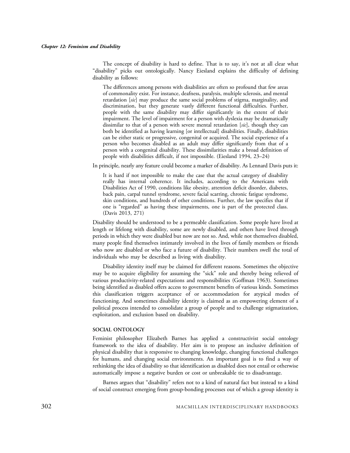The concept of disability is hard to define. That is to say, it's not at all clear what "disability" picks out ontologically. Nancy Eiesland explains the difficulty of defining disability as follows:

The differences among persons with disabilities are often so profound that few areas of commonality exist. For instance, deafness, paralysis, multiple sclerosis, and mental retardation [sic] may produce the same social problems of stigma, marginality, and discrimination, but they generate vastly different functional difficulties. Further, people with the same disability may differ significantly in the extent of their impairment. The level of impairment for a person with dyslexia may be dramatically dissimilar to that of a person with severe mental retardation [sic], though they can both be identified as having learning [or intellectual] disabilities. Finally, disabilities can be either static or progressive, congenital or acquired. The social experience of a person who becomes disabled as an adult may differ significantly from that of a person with a congenital disability. These dissimilarities make a broad definition of people with disabilities difficult, if not impossible. (Eiesland 1994, 23–24)

In principle, nearly any feature could become a marker of disability. As Lennard Davis puts it:

It is hard if not impossible to make the case that the actual category of disability really has internal coherence. It includes, according to the Americans with Disabilities Act of 1990, conditions like obesity, attention deficit disorder, diabetes, back pain, carpal tunnel syndrome, severe facial scarring, chronic fatigue syndrome, skin conditions, and hundreds of other conditions. Further, the law specifies that if one is "regarded" as having these impairments, one is part of the protected class. (Davis 2013, 271)

Disability should be understood to be a permeable classification. Some people have lived at length or lifelong with disability, some are newly disabled, and others have lived through periods in which they were disabled but now are not so. And, while not themselves disabled, many people find themselves intimately involved in the lives of family members or friends who now are disabled or who face a future of disability. Their numbers swell the total of individuals who may be described as living with disability.

Disability identity itself may be claimed for different reasons. Sometimes the objective may be to acquire eligibility for assuming the "sick" role and thereby being relieved of various productivity-related expectations and responsibilities (Goffman 1963). Sometimes being identified as disabled offers access to government benefits of various kinds. Sometimes this classification triggers acceptance of or accommodation for atypical modes of functioning. And sometimes disability identity is claimed as an empowering element of a political process intended to consolidate a group of people and to challenge stigmatization, exploitation, and exclusion based on disability.

#### SOCIAL ONTOLOGY

Feminist philosopher Elizabeth Barnes has applied a constructivist social ontology framework to the idea of disability. Her aim is to propose an inclusive definition of physical disability that is responsive to changing knowledge, changing functional challenges for humans, and changing social environments. An important goal is to find a way of rethinking the idea of disability so that identification as disabled does not entail or otherwise automatically impose a negative burden or cost or unbreakable tie to disadvantage.

Barnes argues that "disability" refers not to a kind of natural fact but instead to a kind of social construct emerging from group-bonding processes out of which a group identity is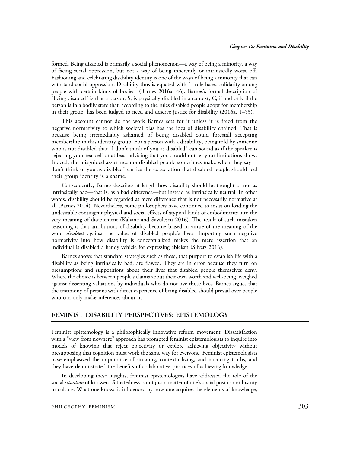formed. Being disabled is primarily a social phenomenon—a way of being a minority, a way of facing social oppression, but not a way of being inherently or intrinsically worse off. Fashioning and celebrating disability identity is one of the ways of being a minority that can withstand social oppression. Disability thus is equated with "a rule-based solidarity among people with certain kinds of bodies" (Barnes 2016a, 46). Barnes's formal description of "being disabled" is that a person, S, is physically disabled in a context, C, if and only if the person is in a bodily state that, according to the rules disabled people adopt for membership in their group, has been judged to need and deserve justice for disability (2016a, 1–53).

This account cannot do the work Barnes sets for it unless it is freed from the negative normativity to which societal bias has the idea of disability chained. That is because being irremediably ashamed of being disabled could forestall accepting membership in this identity group. For a person with a disability, being told by someone who is not disabled that "I don't think of you as disabled" can sound as if the speaker is rejecting your real self or at least advising that you should not let your limitations show. Indeed, the misguided assurance nondisabled people sometimes make when they say "I don't think of you as disabled" carries the expectation that disabled people should feel their group identity is a shame.

Consequently, Barnes describes at length how disability should be thought of not as intrinsically bad—that is, as a bad difference—but instead as intrinsically neutral. In other words, disability should be regarded as mere difference that is not necessarily normative at all (Barnes 2014). Nevertheless, some philosophers have continued to insist on loading the undesirable contingent physical and social effects of atypical kinds of embodiments into the very meaning of disablement (Kahane and Savulescu 2016). The result of such mistaken reasoning is that attributions of disability become biased in virtue of the meaning of the word *disabled* against the value of disabled people's lives. Importing such negative normativity into how disability is conceptualized makes the mere assertion that an individual is disabled a handy vehicle for expressing ableism (Silvers 2016).

Barnes shows that standard strategies such as these, that purport to establish life with a disability as being intrinsically bad, are flawed. They are in error because they turn on presumptions and suppositions about their lives that disabled people themselves deny. Where the choice is between people's claims about their own worth and well-being, weighed against dissenting valuations by individuals who do not live those lives, Barnes argues that the testimony of persons with direct experience of being disabled should prevail over people who can only make inferences about it.

#### FEMINIST DISABILITY PERSPECTIVES: EPISTEMOLOGY

Feminist epistemology is a philosophically innovative reform movement. Dissatisfaction with a "view from nowhere" approach has prompted feminist epistemologists to inquire into models of knowing that reject objectivity or explore achieving objectivity without presupposing that cognition must work the same way for everyone. Feminist epistemologists have emphasized the importance of situating, contextualizing, and nuancing truths, and they have demonstrated the benefits of collaborative practices of achieving knowledge.

In developing these insights, feminist epistemologists have addressed the role of the social *situation* of knowers. Situatedness is not just a matter of one's social position or history or culture. What one knows is influenced by how one acquires the elements of knowledge,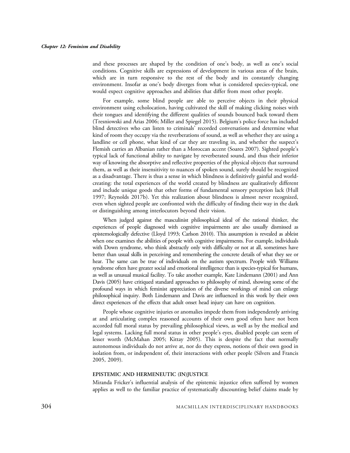and these processes are shaped by the condition of one's body, as well as one's social conditions. Cognitive skills are expressions of development in various areas of the brain, which are in turn responsive to the rest of the body and its constantly changing environment. Insofar as one's body diverges from what is considered species-typical, one would expect cognitive approaches and abilities that differ from most other people.

For example, some blind people are able to perceive objects in their physical environment using echolocation, having cultivated the skill of making clicking noises with their tongues and identifying the different qualities of sounds bounced back toward them (Tresniowski and Arias 2006; Miller and Spiegel 2015). Belgium's police force has included blind detectives who can listen to criminals' recorded conversations and determine what kind of room they occupy via the reverberations of sound, as well as whether they are using a landline or cell phone, what kind of car they are traveling in, and whether the suspect's Flemish carries an Albanian rather than a Moroccan accent (Soares 2007). Sighted people's typical lack of functional ability to navigate by reverberated sound, and thus their inferior way of knowing the absorptive and reflective properties of the physical objects that surround them, as well as their insensitivity to nuances of spoken sound, surely should be recognized as a disadvantage. There is thus a sense in which blindness is definitively gainful and worldcreating: the total experiences of the world created by blindness are qualitatively different and include unique goods that other forms of fundamental sensory perception lack (Hull 1997; Reynolds 2017b). Yet this realization about blindness is almost never recognized, even when sighted people are confronted with the difficulty of finding their way in the dark or distinguishing among interlocutors beyond their vision.

When judged against the masculinist philosophical ideal of the rational thinker, the experiences of people diagnosed with cognitive impairments are also usually dismissed as epistemologically defective (Lloyd 1993; Carlson 2010). This assumption is revealed as ableist when one examines the abilities of people with cognitive impairments. For example, individuals with Down syndrome, who think abstractly only with difficulty or not at all, sometimes have better than usual skills in perceiving and remembering the concrete details of what they see or hear. The same can be true of individuals on the autism spectrum. People with Williams syndrome often have greater social and emotional intelligence than is species-typical for humans, as well as unusual musical facility. To take another example, Kate Lindemann (2001) and Ann Davis (2005) have critiqued standard approaches to philosophy of mind, showing some of the profound ways in which feminist appreciation of the diverse workings of mind can enlarge philosophical inquiry. Both Lindemann and Davis are influenced in this work by their own direct experiences of the effects that adult onset head injury can have on cognition.

People whose cognitive injuries or anomalies impede them from independently arriving at and articulating complex reasoned accounts of their own good often have not been accorded full moral status by prevailing philosophical views, as well as by the medical and legal systems. Lacking full moral status in other people's eyes, disabled people can seem of lesser worth (McMahan 2005; Kittay 2005). This is despite the fact that normally autonomous individuals do not arrive at, nor do they express, notions of their own good in isolation from, or independent of, their interactions with other people (Silvers and Francis 2005, 2009).

#### EPISTEMIC AND HERMENEUTIC (IN)JUSTICE

Miranda Fricker's influential analysis of the epistemic injustice often suffered by women applies as well to the familiar practice of systematically discounting belief claims made by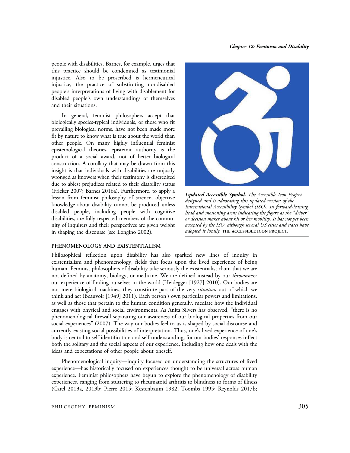Chapter 12: Feminism and Disability

people with disabilities. Barnes, for example, urges that this practice should be condemned as testimonial injustice. Also to be proscribed is hermeneutical injustice, the practice of substituting nondisabled people's interpretations of living with disablement for disabled people's own understandings of themselves and their situations.

In general, feminist philosophers accept that biologically species-typical individuals, or those who fit prevailing biological norms, have not been made more fit by nature to know what is true about the world than other people. On many highly influential feminist epistemological theories, epistemic authority is the product of a social award, not of better biological construction. A corollary that may be drawn from this insight is that individuals with disabilities are unjustly wronged as knowers when their testimony is discredited due to ablest prejudices related to their disability status (Fricker 2007; Barnes 2016a). Furthermore, to apply a lesson from feminist philosophy of science, objective knowledge about disability cannot be produced unless disabled people, including people with cognitive disabilities, are fully respected members of the community of inquirers and their perspectives are given weight in shaping the discourse (see Longino 2002).

#### PHENOMENOLOGY AND EXISTENTIALISM

Philosophical reflection upon disability has also sparked new lines of inquiry in existentialism and phenomenology, fields that focus upon the lived experience of being human. Feminist philosophers of disability take seriously the existentialist claim that we are not defined by anatomy, biology, or medicine. We are defined instead by our *thrownness:* our experience of finding ourselves in the world (Heidegger [1927] 2010). Our bodies are not mere biological machines; they constitute part of the very *situation* out of which we think and act (Beauvoir [1949] 2011). Each person's own particular powers and limitations, as well as those that pertain to the human condition generally, mediate how the individual engages with physical and social environments. As Anita Silvers has observed, "there is no phenomenological firewall separating our awareness of our biological properties from our social experiences" (2007). The way our bodies feel to us is shaped by social discourse and currently existing social possibilities of interpretation. Thus, one's lived experience of one's body is central to self-identification and self-understanding, for our bodies' responses inflect both the solitary and the social aspects of our experience, including how one deals with the ideas and expectations of other people about oneself.

Phenomenological inquiry—inquiry focused on understanding the structures of lived experience—has historically focused on experiences thought to be universal across human experience. Feminist philosophers have begun to explore the phenomenology of disability experiences, ranging from stuttering to rheumatoid arthritis to blindness to forms of illness (Carel 2013a, 2013b; Pierre 2015; Kestenbaum 1982; Toombs 1995; Reynolds 2017b;



Updated Accessible Symbol. The Accessible Icon Project designed and is advocating this updated version of the International Accessibility Symbol (ISO). Its forward-leaning head and motioning arms indicating the figure as the "driver" or decision maker about his or her mobility. It has not yet been accepted by the ISO, although several US cities and states have adopted it locally. THE ACCESSIBLE ICON PROJECT.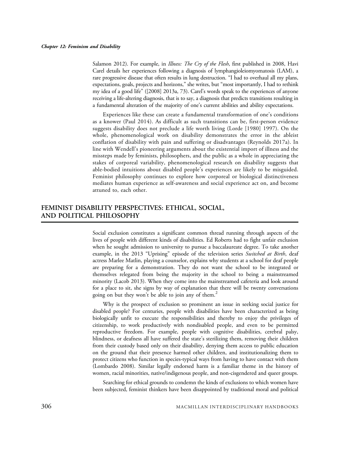Salamon 2012). For example, in *Illness: The Cry of the Flesh*, first published in 2008, Havi Carel details her experiences following a diagnosis of lymphangioleiomyomatosis (LAM), a rare progressive disease that often results in lung destruction. "I had to overhaul all my plans, expectations, goals, projects and horizons," she writes, but "most importantly, I had to rethink my idea of a good life" ([2008] 2013a, 73). Carel's words speak to the experiences of anyone receiving a life-altering diagnosis, that is to say, a diagnosis that predicts transitions resulting in a fundamental alteration of the majority of one's current abilities and ability expectations.

Experiences like these can create a fundamental transformation of one's conditions as a knower (Paul 2014). As difficult as such transitions can be, first-person evidence suggests disability does not preclude a life worth living (Lorde [1980] 1997). On the whole, phenomenological work on disability demonstrates the error in the ableist conflation of disability with pain and suffering or disadvantages (Reynolds 2017a). In line with Wendell's pioneering arguments about the existential import of illness and the missteps made by feminists, philosophers, and the public as a whole in appreciating the stakes of corporeal variability, phenomenological research on disability suggests that able-bodied intuitions about disabled people's experiences are likely to be misguided. Feminist philosophy continues to explore how corporeal or biological distinctiveness mediates human experience as self-awareness and social experience act on, and become attuned to, each other.

#### FEMINIST DISABILITY PERSPECTIVES: ETHICAL, SOCIAL, AND POLITICAL PHILOSOPHY

Social exclusion constitutes a significant common thread running through aspects of the lives of people with different kinds of disabilities. Ed Roberts had to fight unfair exclusion when he sought admission to university to pursue a baccalaureate degree. To take another example, in the 2013 "Uprising" episode of the television series Switched at Birth, deaf actress Marlee Matlin, playing a counselor, explains why students at a school for deaf people are preparing for a demonstration. They do not want the school to be integrated or themselves relegated from being the majority in the school to being a mainstreamed minority (Lacob 2013). When they come into the mainstreamed cafeteria and look around for a place to sit, she signs by way of explanation that there will be twenty conversations going on but they won't be able to join any of them.<sup>2</sup>

Why is the prospect of exclusion so prominent an issue in seeking social justice for disabled people? For centuries, people with disabilities have been characterized as being biologically unfit to execute the responsibilities and thereby to enjoy the privileges of citizenship, to work productively with nondisabled people, and even to be permitted reproductive freedom. For example, people with cognitive disabilities, cerebral palsy, blindness, or deafness all have suffered the state's sterilizing them, removing their children from their custody based only on their disability, denying them access to public education on the ground that their presence harmed other children, and institutionalizing them to protect citizens who function in species-typical ways from having to have contact with them (Lombardo 2008). Similar legally endorsed harm is a familiar theme in the history of women, racial minorities, native/indigenous people, and non-cisgendered and queer groups.

Searching for ethical grounds to condemn the kinds of exclusions to which women have been subjected, feminist thinkers have been disappointed by traditional moral and political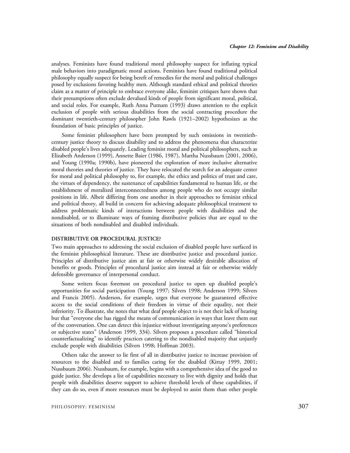analyses. Feminists have found traditional moral philosophy suspect for inflating typical male behaviors into paradigmatic moral actions. Feminists have found traditional political philosophy equally suspect for being bereft of remedies for the moral and political challenges posed by exclusions favoring healthy men. Although standard ethical and political theories claim as a matter of principle to embrace everyone alike, feminist critiques have shown that their presumptions often exclude devalued kinds of people from significant moral, political, and social roles. For example, Ruth Anna Putnam (1993) draws attention to the explicit exclusion of people with serious disabilities from the social contracting procedure the dominant twentieth-century philosopher John Rawls (1921–2002) hypothesizes as the foundation of basic principles of justice.

Some feminist philosophers have been prompted by such omissions in twentiethcentury justice theory to discuss disability and to address the phenomena that characterize disabled people's lives adequately. Leading feminist moral and political philosophers, such as Elizabeth Anderson (1999), Annette Baier (1986, 1987), Martha Nussbaum (2001, 2006), and Young (1990a; 1990b), have pioneered the exploration of more inclusive alternative moral theories and theories of justice. They have relocated the search for an adequate center for moral and political philosophy to, for example, the ethics and politics of trust and care, the virtues of dependency, the sustenance of capabilities fundamental to human life, or the establishment of moralized interconnectedness among people who do not occupy similar positions in life. Albeit differing from one another in their approaches to feminist ethical and political theory, all build in concern for achieving adequate philosophical treatment to address problematic kinds of interactions between people with disabilities and the nondisabled, or to illuminate ways of framing distributive policies that are equal to the situations of both nondisabled and disabled individuals.

#### DISTRIBUTIVE OR PROCEDURAL JUSTICE?

Two main approaches to addressing the social exclusion of disabled people have surfaced in the feminist philosophical literature. These are distributive justice and procedural justice. Principles of distributive justice aim at fair or otherwise widely desirable allocation of benefits or goods. Principles of procedural justice aim instead at fair or otherwise widely defensible governance of interpersonal conduct.

Some writers focus foremost on procedural justice to open up disabled people's opportunities for social participation (Young 1997; Silvers 1998; Anderson 1999; Silvers and Francis 2005). Anderson, for example, urges that everyone be guaranteed effective access to the social conditions of their freedom in virtue of their equality, not their inferiority. To illustrate, she notes that what deaf people object to is not their lack of hearing but that "everyone else has rigged the means of communication in ways that leave them out of the conversation. One can detect this injustice without investigating anyone's preferences or subjective states" (Anderson 1999, 334). Silvers proposes a procedure called "historical counterfactualizing" to identify practices catering to the nondisabled majority that unjustly exclude people with disabilities (Silvers 1998; Hoffman 2003).

Others take the answer to lie first of all in distributive justice to increase provision of resources to the disabled and to families caring for the disabled (Kittay 1999, 2001; Nussbaum 2006). Nussbaum, for example, begins with a comprehensive idea of the good to guide justice. She develops a list of capabilities necessary to live with dignity and holds that people with disabilities deserve support to achieve threshold levels of these capabilities, if they can do so, even if more resources must be deployed to assist them than other people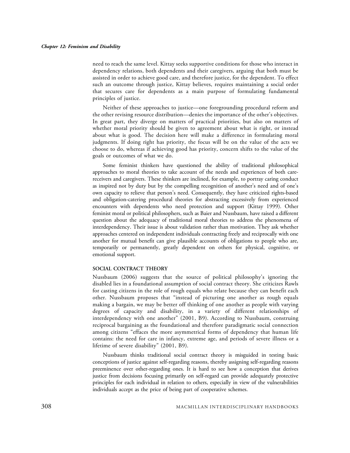need to reach the same level. Kittay seeks supportive conditions for those who interact in dependency relations, both dependents and their caregivers, arguing that both must be assisted in order to achieve good care, and therefore justice, for the dependent. To effect such an outcome through justice, Kittay believes, requires maintaining a social order that secures care for dependents as a main purpose of formulating fundamental principles of justice.

Neither of these approaches to justice—one foregrounding procedural reform and the other revising resource distribution—denies the importance of the other's objectives. In great part, they diverge on matters of practical priorities, but also on matters of whether moral priority should be given to agreement about what is right, or instead about what is good. The decision here will make a difference in formulating moral judgments. If doing right has priority, the focus will be on the value of the acts we choose to do, whereas if achieving good has priority, concern shifts to the value of the goals or outcomes of what we do.

Some feminist thinkers have questioned the ability of traditional philosophical approaches to moral theories to take account of the needs and experiences of both carereceivers and caregivers. These thinkers are inclined, for example, to portray caring conduct as inspired not by duty but by the compelling recognition of another's need and of one's own capacity to relieve that person's need. Consequently, they have criticized rights-based and obligation-catering procedural theories for abstracting excessively from experienced encounters with dependents who need protection and support (Kittay 1999). Other feminist moral or political philosophers, such as Baier and Nussbaum, have raised a different question about the adequacy of traditional moral theories to address the phenomena of interdependency. Their issue is about validation rather than motivation. They ask whether approaches centered on independent individuals contracting freely and reciprocally with one another for mutual benefit can give plausible accounts of obligations to people who are, temporarily or permanently, greatly dependent on others for physical, cognitive, or emotional support.

#### SOCIAL CONTRACT THEORY

Nussbaum (2006) suggests that the source of political philosophy's ignoring the disabled lies in a foundational assumption of social contract theory. She criticizes Rawls for casting citizens in the role of rough equals who relate because they can benefit each other. Nussbaum proposes that "instead of picturing one another as rough equals making a bargain, we may be better off thinking of one another as people with varying degrees of capacity and disability, in a variety of different relationships of interdependency with one another" (2001, B9). According to Nussbaum, construing reciprocal bargaining as the foundational and therefore paradigmatic social connection among citizens "effaces the more asymmetrical forms of dependency that human life contains: the need for care in infancy, extreme age, and periods of severe illness or a lifetime of severe disability" (2001, B9).

Nussbaum thinks traditional social contract theory is misguided in testing basic conceptions of justice against self-regarding reasons, thereby assigning self-regarding reasons preeminence over other-regarding ones. It is hard to see how a conception that derives justice from decisions focusing primarily on self-regard can provide adequately protective principles for each individual in relation to others, especially in view of the vulnerabilities individuals accept as the price of being part of cooperative schemes.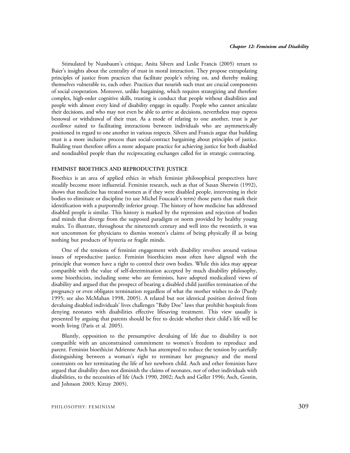Stimulated by Nussbaum's critique, Anita Silvers and Leslie Francis (2005) return to Baier's insights about the centrality of trust in moral interaction. They propose extrapolating principles of justice from practices that facilitate people's relying on, and thereby making themselves vulnerable to, each other. Practices that nourish such trust are crucial components of social cooperation. Moreover, unlike bargaining, which requires strategizing and therefore complex, high-order cognitive skills, trusting is conduct that people without disabilities and people with almost every kind of disability engage in equally. People who cannot articulate their decisions, and who may not even be able to arrive at decisions, nevertheless may express bestowal or withdrawal of their trust. As a mode of relating to one another, trust is par excellence suited to facilitating interactions between individuals who are asymmetrically positioned in regard to one another in various respects. Silvers and Francis argue that building trust is a more inclusive process than social-contract bargaining about principles of justice. Building trust therefore offers a more adequate practice for achieving justice for both disabled and nondisabled people than the reciprocating exchanges called for in strategic contracting.

#### FEMINIST BIOETHICS AND REPRODUCTIVE JUSTICE

Bioethics is an area of applied ethics in which feminist philosophical perspectives have steadily become more influential. Feminist research, such as that of Susan Sherwin (1992), shows that medicine has treated women as if they were disabled people, intervening in their bodies to eliminate or discipline (to use Michel Foucault's term) those parts that mark their identification with a purportedly inferior group. The history of how medicine has addressed disabled people is similar. This history is marked by the repression and rejection of bodies and minds that diverge from the supposed paradigm or norm provided by healthy young males. To illustrate, throughout the nineteenth century and well into the twentieth, it was not uncommon for physicians to dismiss women's claims of being physically ill as being nothing but products of hysteria or fragile minds.

One of the tensions of feminist engagement with disability revolves around various issues of reproductive justice. Feminist bioethicists most often have aligned with the principle that women have a right to control their own bodies. While this idea may appear compatible with the value of self-determination accepted by much disability philosophy, some bioethicists, including some who are feminists, have adopted medicalized views of disability and argued that the prospect of bearing a disabled child justifies termination of the pregnancy or even obligates termination regardless of what the mother wishes to do (Purdy 1995; see also McMahan 1998, 2005). A related but not identical position derived from devaluing disabled individuals' lives challenges "Baby Doe" laws that prohibit hospitals from denying neonates with disabilities effective lifesaving treatment. This view usually is presented by arguing that parents should be free to decide whether their child's life will be worth living (Paris et al. 2005).

Bluntly, opposition to the presumptive devaluing of life due to disability is not compatible with an unconstrained commitment to women's freedom to reproduce and parent. Feminist bioethicist Adrienne Asch has attempted to reduce the tension by carefully distinguishing between a woman's right to terminate her pregnancy and the moral constraints on her terminating the life of her newborn child. Asch and other feminists have argued that disability does not diminish the claims of neonates, nor of other individuals with disabilities, to the necessities of life (Asch 1990, 2002; Asch and Geller 1996; Asch, Gostin, and Johnson 2003; Kittay 2005).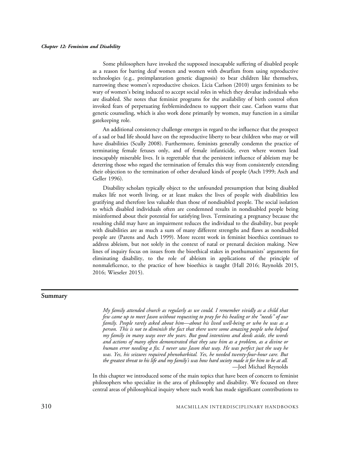Some philosophers have invoked the supposed inescapable suffering of disabled people as a reason for barring deaf women and women with dwarfism from using reproductive technologies (e.g., preimplantation genetic diagnosis) to bear children like themselves, narrowing these women's reproductive choices. Licia Carlson (2010) urges feminists to be wary of women's being induced to accept social roles in which they devalue individuals who are disabled. She notes that feminist programs for the availability of birth control often invoked fears of perpetuating feeblemindedness to support their case. Carlson warns that genetic counseling, which is also work done primarily by women, may function in a similar gatekeeping role.

An additional consistency challenge emerges in regard to the influence that the prospect of a sad or bad life should have on the reproductive liberty to bear children who may or will have disabilities (Scully 2008). Furthermore, feminists generally condemn the practice of terminating female fetuses only, and of female infanticide, even where women lead inescapably miserable lives. It is regrettable that the persistent influence of ableism may be deterring those who regard the termination of females this way from consistently extending their objection to the termination of other devalued kinds of people (Asch 1999; Asch and Geller 1996).

Disability scholars typically object to the unfounded presumption that being disabled makes life not worth living, or at least makes the lives of people with disabilities less gratifying and therefore less valuable than those of nondisabled people. The social isolation to which disabled individuals often are condemned results in nondisabled people being misinformed about their potential for satisfying lives. Terminating a pregnancy because the resulting child may have an impairment reduces the individual to the disability, but people with disabilities are as much a sum of many different strengths and flaws as nondisabled people are (Parens and Asch 1999). More recent work in feminist bioethics continues to address ableism, but not solely in the context of natal or prenatal decision making. New lines of inquiry focus on issues from the bioethical stakes in posthumanists' arguments for eliminating disability, to the role of ableism in applications of the principle of nonmaleficence, to the practice of how bioethics is taught (Hall 2016; Reynolds 2015, 2016; Wieseler 2015).

#### Summary

My family attended church as regularly as we could. I remember vividly as a child that few came up to meet Jason without requesting to pray for his healing or the "needs" of our family. People rarely asked about him—about his lived well-being or who he was as a person. This is not to diminish the fact that there were some amazing people who helped my family in many ways over the years. But good intentions and deeds aside, the words and actions of many often demonstrated that they saw him as a problem, as a divine or human error needing a fix. I never saw Jason that way. He was perfect just the way he was. Yes, his seizures required phenobarbital. Yes, he needed twenty-four-hour care. But the greatest threat to his life and my family's was how hard society made it for him to be at all. —Joel Michael Reynolds

In this chapter we introduced some of the main topics that have been of concern to feminist philosophers who specialize in the area of philosophy and disability. We focused on three central areas of philosophical inquiry where such work has made significant contributions to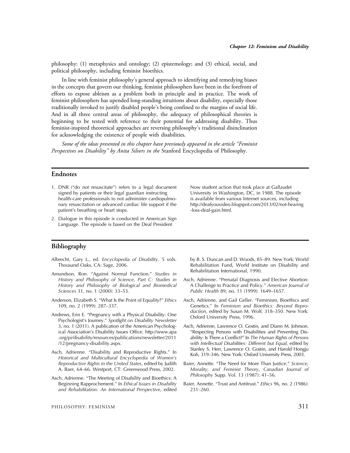philosophy: (1) metaphysics and ontology; (2) epistemology; and (3) ethical, social, and political philosophy, including feminist bioethics.

In line with feminist philosophy's general approach to identifying and remedying biases in the concepts that govern our thinking, feminist philosophers have been in the forefront of efforts to expose ableism as a problem both in principle and in practice. The work of feminist philosophers has upended long-standing intuitions about disability, especially those traditionally invoked to justify disabled people's being confined to the margins of social life. And in all three central areas of philosophy, the adequacy of philosophical theories is beginning to be tested with reference to their potential for addressing disability. Thus feminist-inspired theoretical approaches are reversing philosophy's traditional disinclination for acknowledging the existence of people with disabilities.

Some of the ideas presented in this chapter have previously appeared in the article "Feminist Perspectives on Disability" by Anita Silvers in the Stanford Encyclopedia of Philosophy.

#### Endnotes

- 1. DNR ("do not resuscitate") refers to a legal document signed by patients or their legal guardian instructing health-care professionals to not administer cardiopulmonary resuscitation or advanced cardiac life support if the patient's breathing or heart stops.
- 2. Dialogue in this episode is conducted in American Sign Language. The episode is based on the Deaf President

Now student action that took place at Gallaudet University in Washington, DC, in 1988. The episode is available from various Internet sources, including http://deafyouvideo.blogspot.com/2013/02/not-hearing -loss-deaf-gain.html.

#### Bibliography

- Albrecht, Gary L., ed. Encyclopedia of Disability. 5 vols. Thousand Oaks, CA: Sage, 2006.
- Amundson, Ron. "Against Normal Function." Studies in History and Philosophy of Science, Part C: Studies in History and Philosophy of Biological and Biomedical Sciences 31, no. 1 (2000): 33–53.
- Anderson, Elizabeth S. "What Is the Point of Equality?" Ethics 109, no. 2 (1999): 287–337.
- Andrews, Erin E. "Pregnancy with a Physical Disability: One Psychologist's Journey." Spotlight on Disability Newsletter 3, no. 1 (2011). A publication of the American Psychological Association's Disability Issues Office. http://www.apa .org/pi/disability/resources/publications/newsletter/2011 /12/pregnancy-disability.aspx.
- Asch, Adrienne. "Disability and Reproductive Rights." In Historical and Multicultural Encyclopedia of Women's Reproductive Rights in the United States, edited by Judith A. Baer, 64–66. Westport, CT: Greenwood Press, 2002.
- Asch, Adrienne. "The Meeting of Disability and Bioethics: A Beginning Rapprochement." In Ethical Issues in Disability and Rehabilitation: An International Perspective, edited

by B. S. Duncan and D. Woods, 85–89. New York: World Rehabilitation Fund, World Institute on Disability and Rehabilitation International, 1990.

- Asch, Adrienne. "Prenatal Diagnosis and Elective Abortion: A Challenge to Practice and Policy." American Journal of Public Health 89, no. 11 (1999): 1649–1657.
- Asch, Adrienne, and Gail Geller. "Feminism, Bioethics and Genetics." In Feminism and Bioethics: Beyond Reproduction, edited by Susan M. Wolf, 318–350. New York: Oxford University Press, 1996.
- Asch, Adrienne, Lawrence O. Gostin, and Diann M. Johnson. "Respecting Persons with Disabilities and Preventing Disability: Is There a Conflict?" In The Human Rights of Persons with Intellectual Disabilities: Different but Equal, edited by Stanley S. Herr, Lawrence O. Gostin, and Harold Hongju Koh, 319–346. New York: Oxford University Press, 2003.
- Baier, Annette. "The Need for More Than Justice." Science, Morality, and Feminist Theory, Canadian Journal of Philosophy Supp. Vol. 13 (1987): 41–56.
- Baier, Annette. "Trust and Antitrust." Ethics 96, no. 2 (1986): 231–260.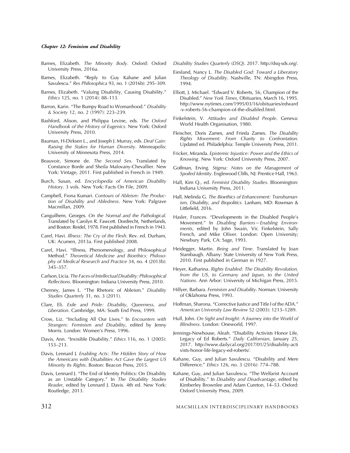- Barnes, Elizabeth. The Minority Body. Oxford: Oxford University Press, 2016a.
- Barnes, Elizabeth. "Reply to Guy Kahane and Julian Savulescu." Res Philosophica 93, no. 1 (2016b): 295–309.
- Barnes, Elizabeth. "Valuing Disability, Causing Disability." Ethics 125, no. 1 (2014): 88–113.
- Barron, Karin. "The Bumpy Road to Womanhood." Disability & Society 12, no. 2 (1997): 223–239.
- Bashford, Alison, and Philippa Levine, eds. The Oxford Handbook of the History of Eugenics. New York: Oxford University Press, 2010.
- Bauman, H-Dirksen L., and Joseph J. Murray, eds. Deaf Gain: Raising the Stakes for Human Diversity. Minneapolis: University of Minnesota Press, 2014.
- Beauvoir, Simone de. The Second Sex. Translated by Constance Borde and Sheila Malovany-Chevallier. New York: Vintage, 2011. First published in French in 1949.
- Burch, Susan, ed. Encyclopedia of American Disability History. 3 vols. New York: Facts On File, 2009.
- Campbell, Fiona Kumari. Contours of Ableism: The Production of Disability and Abledness. New York: Palgrave Macmillan, 2009.
- Canguilhem, Georges. On the Normal and the Pathological. Translated by Carolyn R. Fawcett. Dordrecht, Netherlands, and Boston: Reidel, 1978. First published in French in 1943.
- Carel, Havi. Illness: The Cry of the Flesh. Rev. ed. Durham, UK: Acumen, 2013a. First published 2008.
- Carel, Havi. "Illness, Phenomenology, and Philosophical Method." Theoretical Medicine and Bioethics: Philosophy of Medical Research and Practice 34, no. 4 (2013b): 345–357.
- Carlson, Licia. The Faces of Intellectual Disability: Philosophical Reflections. Bloomington: Indiana University Press, 2010.
- Cherney, James L. "The Rhetoric of Ableism." Disability Studies Quarterly 31, no. 3 (2011).
- Clare, Eli. Exile and Pride: Disability, Queerness, and Liberation. Cambridge, MA: South End Press, 1999.
- Crow, Liz. "Including All Our Lives." In Encounters with Strangers: Feminism and Disability, edited by Jenny Morris. London: Women's Press, 1996.
- Davis, Ann. "Invisible Disability." Ethics 116, no. 1 (2005): 153–213.
- Davis, Lennard J. Enabling Acts: The Hidden Story of How the Americans with Disabilities Act Gave the Largest US Minority Its Rights. Boston: Beacon Press, 2015.
- Davis, Lennard J. "The End of Identity Politics: On Disability as an Unstable Category." In The Disability Studies Reader, edited by Lennard J. Davis. 4th ed. New York: Routledge, 2013.

Disability Studies Quarterly (DSQ). 2017. http://dsq-sds.org/.

- Eiesland, Nancy L. The Disabled God: Toward a Liberatory Theology of Disability. Nashville, TN: Abingdon Press, 1994.
- Elliott, J. Michael. "Edward V. Roberts, 56, Champion of the Disabled." New York Times, Obituaries, March 16, 1995. http://www.nytimes.com/1995/03/16/obituaries/edward -v-roberts-56-champion-of-the-disabled.html.
- Finkelstein, V. Attitudes and Disabled People. Geneva: World Health Organisation, 1980.
- Fleischer, Doris Zames, and Frieda Zames. The Disability Rights Movement: From Charity to Confrontation. Updated ed. Philadelphia: Temple University Press, 2011.
- Fricker, Miranda. Epistemic Injustice: Power and the Ethics of Knowing. New York: Oxford University Press, 2007.
- Goffman, Erving. Stigma: Notes on the Management of Spoiled Identity. Englewood Cliffs, NJ: Prentice Hall, 1963.
- Hall, Kim Q., ed. Feminist Disability Studies. Bloomington: Indiana University Press, 2011.
- Hall, Melinda G. The Bioethics of Enhancement: Transhumanism, Disability, and Biopolitics. Lanham, MD: Rowman & Littlefield, 2016.
- Hasler, Frances. "Developments in the Disabled People's Movement." In Disabling Barriers—Enabling Environments, edited by John Swain, Vic Finkelstein, Sally French, and Mike Oliver. London: Open University; Newbury Park, CA: Sage, 1993.
- Heidegger, Martin. Being and Time. Translated by Joan Stambaugh. Albany: State University of New York Press, 2010. First published in German in 1927.
- Heyer, Katharina. Rights Enabled: The Disability Revolution, from the US, to Germany and Japan, to the United Nations. Ann Arbor: University of Michigan Press, 2015.
- Hillyer, Barbara. Feminism and Disability. Norman: University of Oklahoma Press, 1993.
- Hoffman, Sharona. "Corrective Justice and Title I of the ADA." American University Law Review 52 (2003): 1213–1289.
- Hull, John. On Sight and Insight: A Journey into the World of Blindness. London: Oneworld, 1997.
- Jennings-Newhouse, Aleah. "Disability Activists Honor Life, Legacy of Ed Roberts." Daily Californian, January 25, 2017. http://www.dailycal.org/2017/01/25/disability-acti vists-honor-life-legacy-ed-roberts/.
- Kahane, Guy, and Julian Savulescu. "Disability and Mere Difference." Ethics 126, no. 3 (2016): 774–788.
- Kahane, Guy, and Julian Savulescu. "The Welfarist Account of Disability." In Disability and Disadvantage, edited by Kimberley Brownlee and Adam Cureton, 14–53. Oxford: Oxford University Press, 2009.

312 MACMILLAN INTERDISCIPLINARY HANDBOOKS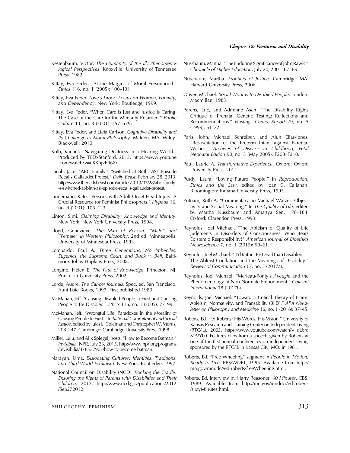- Kestenbaum, Victor. The Humanity of the Ill: Phenomenological Perspectives. Knoxville: University of Tennessee Press, 1982.
- Kittay, Eva Feder. "At the Margins of Moral Personhood." Ethics 116, no. 1 (2005): 100–131.
- Kittay, Eva Feder. Love's Labor: Essays on Women, Equality, and Dependency. New York: Routledge, 1999.
- Kittay, Eva Feder. "When Care Is Just and Justice Is Caring: The Case of the Care for the Mentally Retarded." Public Culture 13, no. 3 (2001): 557–579.
- Kittay, Eva Feder, and Licia Carlson. Cognitive Disability and Its Challenge to Moral Philosophy. Malden, MA: Wiley-Blackwell, 2010.
- Kolb, Rachel. "Navigating Deafness in a Hearing World." Produced by TEDxStanford, 2013. https://www.youtube .com/watch?v=uKKpjvPd6Xo.
- Lacob, Jace. "ABC Family's 'Switched at Birth' ASL Episode Recalls Gallaudet Protest." Daily Beast, February 28, 2013. http://www.thedailybeast.com/articles/2013/02/28/abc-family -s-switched-at-birth-asl-episode-recalls-gallaudet-protest.
- Lindemann, Kate. "Persons with Adult-Onset Head Injury: A Crucial Resource for Feminist Philosophers." Hypatia 16, no. 4 (2001): 105–123.
- Linton, Simi. Claiming Disability: Knowledge and Identity. New York: New York University Press, 1998.
- Lloyd, Genevieve. The Man of Reason: "Male" and "Female" in Western Philosophy. 2nd ed. Minneapolis: University of Minnesota Press, 1993.
- Lombardo, Paul A. Three Generations, No Imbeciles: Eugenics, the Supreme Court, and Buck v. Bell. Baltimore: Johns Hopkins Press, 2008.
- Longino, Helen E. The Fate of Knowledge. Princeton, NJ: Princeton University Press, 2002.
- Lorde, Audre. The Cancer Journals. Spec. ed. San Francisco: Aunt Lute Books, 1997. First published 1980.
- McMahan, Jeff. "Causing Disabled People to Exist and Causing People to Be Disabled." Ethics 116, no. 1 (2005): 77–99.
- McMahan, Jeff. "Wrongful Life: Paradoxes in the Morality of Causing People to Exist." In Rational Commitment and Social Justice, edited by Jules L. Coleman and Christopher W. Morris, 208–247. Cambridge: Cambridge University Press, 1998.
- Miller, Lulu, and Alix Spiegel, hosts. "How to Become Batman." Invisibilia, NPR, July 23, 2015. http://www.npr.org/programs /invisibilia/378577902/how-to-become-batman.
- Narayan, Uma. Dislocating Cultures: Identities, Traditions, and Third-World Feminism. New York: Routledge, 1997.
- National Council on Disability (NCD). Rocking the Cradle: Ensuring the Rights of Parents with Disabilities and Their Children. 2012. http://www.ncd.gov/publications/2012 /Sep272012.
- Nussbaum, Martha. "The Enduring Significance of JohnRawls." Chronicle of Higher Education, July 20, 2001: B7–B9.
- Nussbaum, Martha. Frontiers of Justice. Cambridge, MA: Harvard University Press, 2006.
- Oliver, Michael. Social Work with Disabled People. London: Macmillan, 1983.
- Parens, Eric, and Adrienne Asch. "The Disability Rights Critique of Prenatal Genetic Testing: Reflections and Recommendations." Hastings Center Report 29, no. 5 (1999): S1–22.
- Paris, John, Michael Schreiber, and Alun Elias-Jones. "Resuscitation of the Preterm Infant against Parental Wishes." Archives of Disease in Childhood, Fetal Neonatal Edition 90, no. 3 (May 2005): F208–F210.
- Paul, Laurie A. Transformative Experience. Oxford: Oxford University Press, 2014.
- Purdy, Laura. "Loving Future People." In Reproduction, Ethics and the Law, edited by Joan C. Callahan. Bloomington: Indiana University Press, 1995.
- Putnam, Ruth A. "Commentary on Michael Walzer: Objectivity and Social Meaning." In The Quality of Life, edited by Martha Nussbaum and Amartya Sen, 178–184. Oxford: Clarendon Press, 1993.
- Reynolds, Joel Michael. "The Ableism of Quality of Life Judgments in Disorders of Consciousness: Who Bears Epistemic Responsibility?" American Journal of Bioethics Neuroscience 7, no. 1 (2015): 59–61.
- Reynolds, Joel Michael. "'I'd Rather Be Dead than Disabled'— The Ableist Conflation and the Meanings of Disability." Review of Communication 17, no. 3 (2017a).
- Reynolds, Joel Michael. "Merleau-Ponty's Aveugle and the Phenomenology of Non-Normate Embodiment." Chiasmi International 18 (2017b).
- Reynolds, Joel Michael. "Toward a Critical Theory of Harm: Ableism, Normativity, and Transability (BIID)." APA Newsletter on Philosophy and Medicine 16, no. 1 (2016): 37–45.
- Roberts, Ed. "Ed Roberts: His Words, His Vision." University of Kansas Research and Training Center on Independent Living (RTC/IL), 2003. https://www.youtube.com/watch?v=dLbrq MrVYL0. Features clips from a speech given by Roberts at one of the first annual conferences on independent living, sponsored by the RTC/IL in Kansas City, MO, in 1981.
- Roberts, Ed. "Free Wheeling" segment in People in Motion, Ready to Live. PBS/WNET, 1995. Available from http:// mn.gov/mnddc//ed-roberts/freeWheeling.html.
- Roberts, Ed. Interview by Harry Reasoner. 60 Minutes, CBS, 1989. Available from http://mn.gov/mnddc//ed-roberts /sixtyMinutes.html.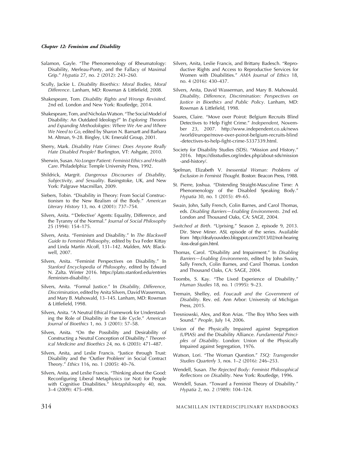- Salamon, Gayle. "The Phenomenology of Rheumatology: Disability, Merleau-Ponty, and the Fallacy of Maximal Grip." Hypatia 27, no. 2 (2012): 243–260.
- Scully, Jackie L. Disability Bioethics: Moral Bodies, Moral Difference. Lanham, MD: Rowman & Littlefield, 2008.
- Shakespeare, Tom. Disability Rights and Wrongs Revisited. 2nd ed. London and New York: Routledge, 2014.
- Shakespeare, Tom, and Nicholas Watson. "The Social Model of Disability: An Outdated Ideology?" In Exploring Theories and Expanding Methodologies: Where We Are and Where We Need to Go, edited by Sharon N. Barnartt and Barbara M. Altman, 9–28. Bingley, UK: Emerald Group, 2001.
- Sherry, Mark. Disability Hate Crimes: Does Anyone Really Hate Disabled People? Burlington, VT: Ashgate, 2010.
- Sherwin, Susan. No Longer Patient: Feminist Ethics and Health Care. Philadelphia: Temple University Press, 1992.
- Shildrick, Margrit. Dangerous Discourses of Disability, Subjectivity, and Sexuality. Basingstoke, UK, and New York: Palgrave Macmillan, 2009.
- Siebers, Tobin. "Disability in Theory: From Social Constructionism to the New Realism of the Body." American Literary History 13, no. 4 (2001): 737–754.
- Silvers, Anita. "'Defective' Agents: Equality, Difference, and the Tyranny of the Normal." Journal of Social Philosophy 25 (1994): 154–175.
- Silvers, Anita. "Feminism and Disability." In The Blackwell Guide to Feminist Philosophy, edited by Eva Feder Kittay and Linda Martín Alcoff, 131–142. Malden, MA: Blackwell, 2007.
- Silvers, Anita. "Feminist Perspectives on Disability." In Stanford Encyclopedia of Philosophy, edited by Edward N. Zalta. Winter 2016. https://plato.stanford.edu/entries /feminism-disability/.
- Silvers, Anita. "Formal Justice." In Disability, Difference, Discrimination, edited by Anita Silvers, David Wasserman, and Mary B. Mahowald, 13–145. Lanham, MD: Rowman & Littlefield, 1998.
- Silvers, Anita. "A Neutral Ethical Framework for Understanding the Role of Disability in the Life Cycle." American Journal of Bioethics 1, no. 3 (2001): 57–58.
- Silvers, Anita. "On the Possibility and Desirability of Constructing a Neutral Conception of Disability." Theoretical Medicine and Bioethics 24, no. 6 (2003): 471–487.
- Silvers, Anita, and Leslie Francis. "Justice through Trust: Disability and the 'Outlier Problem' in Social Contract Theory." Ethics 116, no. 1 (2005): 40–76.
- Silvers, Anita, and Leslie Francis. "Thinking about the Good: Reconfiguring Liberal Metaphysics (or Not) for People with Cognitive Disabilities." Metaphilosophy 40, nos. 3–4 (2009): 475–498.
- Silvers, Anita, Leslie Francis, and Brittany Badesch. "Reproductive Rights and Access to Reproductive Services for Women with Disabilities." AMA Journal of Ethics 18, no. 4 (2016): 430–437.
- Silvers, Anita, David Wasserman, and Mary B. Mahowald. Disability, Difference, Discrimination: Perspectives on Justice in Bioethics and Public Policy. Lanham, MD: Rowman & Littlefield, 1998.
- Soares, Claire. "Move over Poirot: Belgium Recruits Blind Detectives to Help Fight Crime." Independent, November 23, 2007. http://www.independent.co.uk/news /world/europe/move-over-poirot-belgium-recruits-blind -detectives-to-help-fight-crime-5337339.html.
- Society for Disability Studies (SDS). "Mission and History." 2016. https://disstudies.org/index.php/about-sds/mission -and-history/.
- Spelman, Elizabeth V. Inessential Woman: Problems of Exclusion in Feminist Thought. Boston: Beacon Press, 1988.
- St. Pierre, Joshua. "Distending Straight-Masculine Time: A Phenomenology of the Disabled Speaking Body." Hypatia 30, no. 1 (2015): 49–65.
- Swain, John, Sally French, Colin Barnes, and Carol Thomas, eds. Disabling Barriers—Enabling Environments. 2nd ed. London and Thousand Oaks, CA: SAGE, 2004.
- Switched at Birth. "Uprising." Season 2, episode 9, 2013. Dir. Steve Miner. ASL episode of the series. Available from http://deafyouvideo.blogspot.com/2013/02/not-hearing -loss-deaf-gain.html.
- Thomas, Carol. "Disability and Impairment." In Disabling Barriers—Enabling Environments, edited by John Swain, Sally French, Colin Barnes, and Carol Thomas. London and Thousand Oaks, CA: SAGE, 2004.
- Toombs, S. Kay. "The Lived Experience of Disability." Human Studies 18, no. 1 (1995): 9–23.
- Tremain, Shelley, ed. Foucault and the Government of Disability. Rev. ed. Ann Arbor: University of Michigan Press, 2015.
- Tresniowski, Alex, and Ron Arias. "The Boy Who Sees with Sound." People, July 14, 2006.
- Union of the Physically Impaired against Segregation (UPIAS) and the Disability Alliance. Fundamental Principles of Disability. London: Union of the Physically Impaired against Segregation, 1976.
- Watson, Lori. "The Woman Question." TSQ: Transgender Studies Quarterly 3, nos. 1–2 (2016): 246–253.
- Wendell, Susan. The Rejected Body: Feminist Philosophical Reflections on Disability. New York: Routledge, 1996.
- Wendell, Susan. "Toward a Feminist Theory of Disability." Hypatia 2, no. 2 (1989): 104–124.